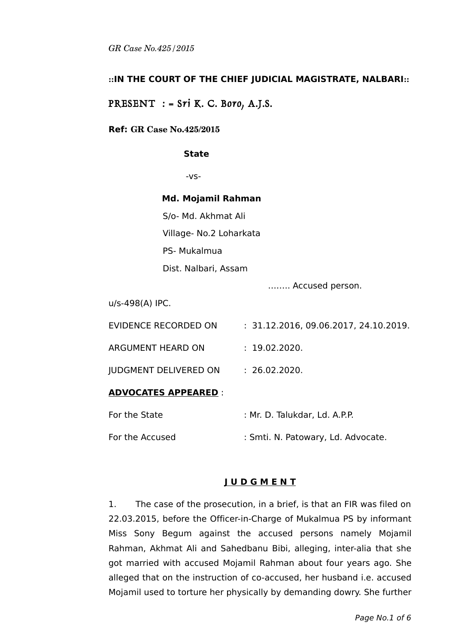## **::IN THE COURT OF THE CHIEF JUDICIAL MAGISTRATE, NALBARI::**

PRESENT  $:$  = Sri K. C. Boro, A.J.S.

### **Ref: GR Case No.425/2015**

#### **State**

-vs-

#### **Md. Mojamil Rahman**

S/o- Md. Akhmat Ali Village- No.2 Loharkata PS- Mukalmua Dist. Nalbari, Assam

…….. Accused person.

u/s-498(A) IPC.

| <u> ADVOCATES APPEARED</u> : |                                       |
|------------------------------|---------------------------------------|
| JUDGMENT DELIVERED ON        | : 26.02.2020.                         |
| ARGUMENT HEARD ON            | : 19.02.2020.                         |
| EVIDENCE RECORDED ON         | : 31.12.2016, 09.06.2017, 24.10.2019. |

| For the State   | : Mr. D. Talukdar, Ld. A.P.P.      |
|-----------------|------------------------------------|
| For the Accused | : Smti. N. Patowary, Ld. Advocate. |

## **J U D G M E N T**

1. The case of the prosecution, in a brief, is that an FIR was filed on 22.03.2015, before the Officer-in-Charge of Mukalmua PS by informant Miss Sony Begum against the accused persons namely Mojamil Rahman, Akhmat Ali and Sahedbanu Bibi, alleging, inter-alia that she got married with accused Mojamil Rahman about four years ago. She alleged that on the instruction of co-accused, her husband i.e. accused Mojamil used to torture her physically by demanding dowry. She further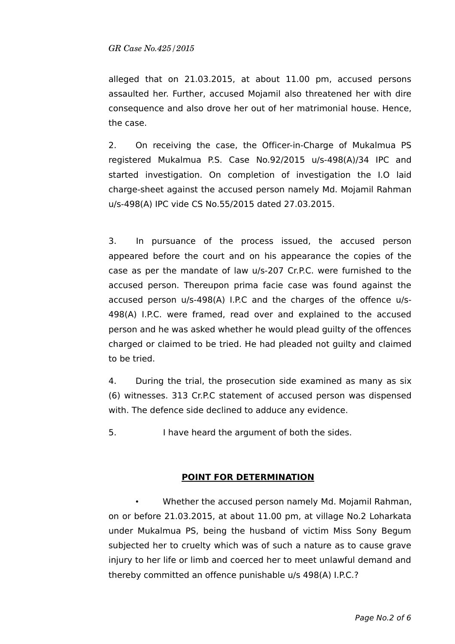alleged that on 21.03.2015, at about 11.00 pm, accused persons assaulted her. Further, accused Mojamil also threatened her with dire consequence and also drove her out of her matrimonial house. Hence, the case.

2. On receiving the case, the Officer-in-Charge of Mukalmua PS registered Mukalmua P.S. Case No.92/2015 u/s-498(A)/34 IPC and started investigation. On completion of investigation the I.O laid charge-sheet against the accused person namely Md. Mojamil Rahman u/s-498(A) IPC vide CS No.55/2015 dated 27.03.2015.

3. In pursuance of the process issued, the accused person appeared before the court and on his appearance the copies of the case as per the mandate of law u/s-207 Cr.P.C. were furnished to the accused person. Thereupon prima facie case was found against the accused person u/s-498(A) I.P.C and the charges of the offence u/s-498(A) I.P.C. were framed, read over and explained to the accused person and he was asked whether he would plead guilty of the offences charged or claimed to be tried. He had pleaded not guilty and claimed to be tried.

4. During the trial, the prosecution side examined as many as six (6) witnesses. 313 Cr.P.C statement of accused person was dispensed with. The defence side declined to adduce any evidence.

5. I have heard the argument of both the sides.

## **POINT FOR DETERMINATION**

• Whether the accused person namely Md. Mojamil Rahman, on or before 21.03.2015, at about 11.00 pm, at village No.2 Loharkata under Mukalmua PS, being the husband of victim Miss Sony Begum subjected her to cruelty which was of such a nature as to cause grave injury to her life or limb and coerced her to meet unlawful demand and thereby committed an offence punishable u/s 498(A) I.P.C.?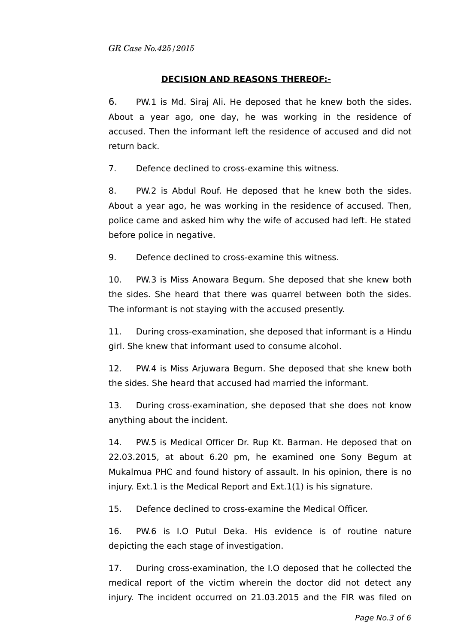# **DECISION AND REASONS THEREOF:-**

6. PW.1 is Md. Siraj Ali. He deposed that he knew both the sides. About a year ago, one day, he was working in the residence of accused. Then the informant left the residence of accused and did not return back.

7. Defence declined to cross-examine this witness.

8. PW.2 is Abdul Rouf. He deposed that he knew both the sides. About a year ago, he was working in the residence of accused. Then, police came and asked him why the wife of accused had left. He stated before police in negative.

9. Defence declined to cross-examine this witness.

10. PW.3 is Miss Anowara Begum. She deposed that she knew both the sides. She heard that there was quarrel between both the sides. The informant is not staying with the accused presently.

11. During cross-examination, she deposed that informant is a Hindu girl. She knew that informant used to consume alcohol.

12. PW.4 is Miss Arjuwara Begum. She deposed that she knew both the sides. She heard that accused had married the informant.

13. During cross-examination, she deposed that she does not know anything about the incident.

14. PW.5 is Medical Officer Dr. Rup Kt. Barman. He deposed that on 22.03.2015, at about 6.20 pm, he examined one Sony Begum at Mukalmua PHC and found history of assault. In his opinion, there is no injury. Ext.1 is the Medical Report and Ext.1(1) is his signature.

15. Defence declined to cross-examine the Medical Officer.

16. PW.6 is I.O Putul Deka. His evidence is of routine nature depicting the each stage of investigation.

17. During cross-examination, the I.O deposed that he collected the medical report of the victim wherein the doctor did not detect any injury. The incident occurred on 21.03.2015 and the FIR was filed on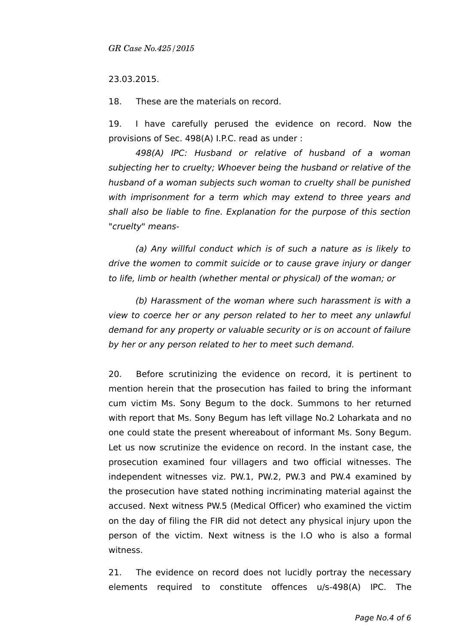#### 23.03.2015.

18. These are the materials on record.

19. I have carefully perused the evidence on record. Now the provisions of Sec. 498(A) I.P.C. read as under :

498(A) IPC: Husband or relative of husband of a woman subjecting her to cruelty; Whoever being the husband or relative of the husband of a woman subjects such woman to cruelty shall be punished with imprisonment for a term which may extend to three years and shall also be liable to fine. Explanation for the purpose of this section "cruelty" means-

(a) Any willful conduct which is of such a nature as is likely to drive the women to commit suicide or to cause grave injury or danger to life, limb or health (whether mental or physical) of the woman; or

(b) Harassment of the woman where such harassment is with a view to coerce her or any person related to her to meet any unlawful demand for any property or valuable security or is on account of failure by her or any person related to her to meet such demand.

20. Before scrutinizing the evidence on record, it is pertinent to mention herein that the prosecution has failed to bring the informant cum victim Ms. Sony Begum to the dock. Summons to her returned with report that Ms. Sony Begum has left village No.2 Loharkata and no one could state the present whereabout of informant Ms. Sony Begum. Let us now scrutinize the evidence on record. In the instant case, the prosecution examined four villagers and two official witnesses. The independent witnesses viz. PW.1, PW.2, PW.3 and PW.4 examined by the prosecution have stated nothing incriminating material against the accused. Next witness PW.5 (Medical Officer) who examined the victim on the day of filing the FIR did not detect any physical injury upon the person of the victim. Next witness is the I.O who is also a formal witness.

21. The evidence on record does not lucidly portray the necessary elements required to constitute offences u/s-498(A) IPC. The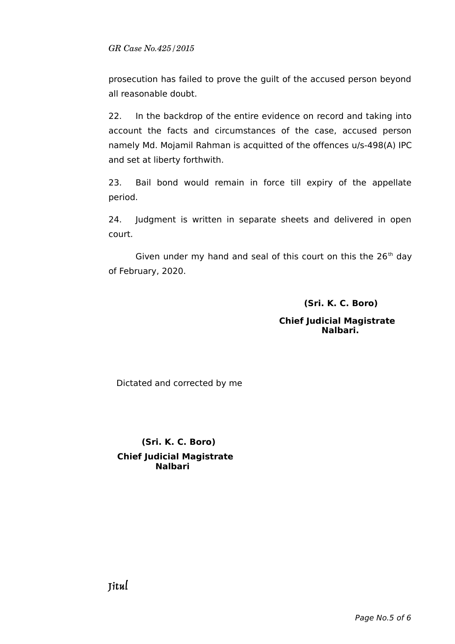prosecution has failed to prove the guilt of the accused person beyond all reasonable doubt.

22. In the backdrop of the entire evidence on record and taking into account the facts and circumstances of the case, accused person namely Md. Mojamil Rahman is acquitted of the offences u/s-498(A) IPC and set at liberty forthwith.

23. Bail bond would remain in force till expiry of the appellate period.

24. Judgment is written in separate sheets and delivered in open court.

Given under my hand and seal of this court on this the  $26<sup>th</sup>$  day of February, 2020.

 **(Sri. K. C. Boro)**

 **Chief Judicial Magistrate Nalbari.** 

Dictated and corrected by me

 **(Sri. K. C. Boro) Chief Judicial Magistrate Nalbari**

Jitul